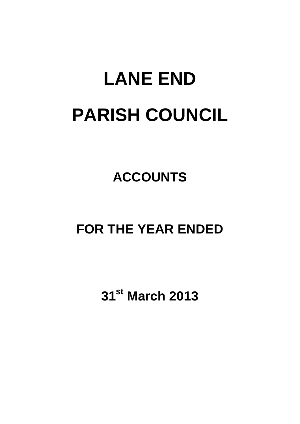# **LANE END PARISH COUNCIL**

## **ACCOUNTS**

### **FOR THE YEAR ENDED**

**31st March 2013**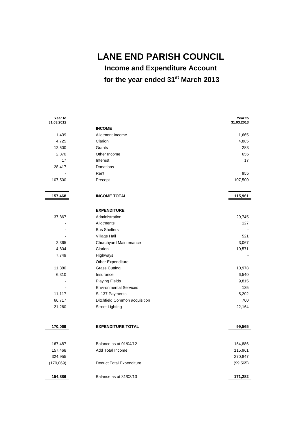**LANE END PARISH COUNCIL** 

 **Income and Expenditure Account for the year ended 31st March 2013** 

| Year to<br>31.03.2012 |                                 | Year to<br>31.03.2013 |
|-----------------------|---------------------------------|-----------------------|
|                       | <b>INCOME</b>                   |                       |
| 1,439                 | Allotment Income                | 1,665                 |
| 4,725                 | Clarion                         | 4,885                 |
| 12,500                | Grants                          | 283                   |
| 2,870                 | Other Income                    | 656                   |
| 17                    | Interest                        | 17                    |
| 28,417                | Donations                       |                       |
|                       | Rent                            | 955                   |
| 107,500               | Precept                         | 107,500               |
|                       |                                 |                       |
| 157,468               | <b>INCOME TOTAL</b>             | 115,961               |
|                       |                                 |                       |
|                       | <b>EXPENDITURE</b>              |                       |
| 37,867                | Administration                  | 29,745                |
|                       | Allotments                      | 127                   |
|                       | <b>Bus Shelters</b>             |                       |
|                       | Village Hall                    | 521                   |
| 2,365                 | Churchyard Maintenance          | 3,067                 |
| 4,804                 | Clarion                         | 10,571                |
| 7,749                 | Highways                        |                       |
|                       | Other Expenditure               |                       |
| 11,880                | <b>Grass Cutting</b>            | 10,978                |
| 6,310                 | Insurance                       | 6,540                 |
|                       | <b>Playing Fields</b>           | 9,815                 |
|                       | <b>Environmental Services</b>   | 135                   |
| 11,117                | S. 137 Payments                 | 5,202                 |
| 66,717                | Ditchfield Common acquisition   | 700                   |
| 21,260                | <b>Street Lighting</b>          | 22,164                |
|                       |                                 |                       |
| 170,069               | <b>EXPENDITURE TOTAL</b>        | 99,565                |
|                       |                                 |                       |
| 167,487               | Balance as at 01/04/12          | 154,886               |
| 157,468               | Add Total Income                | 115,961               |
| 324,955               |                                 | 270,847               |
| (170,069)             | <b>Deduct Total Expenditure</b> | (99, 565)             |
|                       |                                 |                       |
| 154,886               | Balance as at 31/03/13          | 171,282               |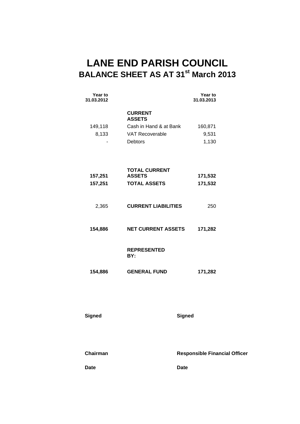### **LANE END PARISH COUNCIL BALANCE SHEET AS AT 31st March 2013**

| Year to<br>31.03.2012 |                                       | Year to<br>31.03.2013                |
|-----------------------|---------------------------------------|--------------------------------------|
|                       | <b>CURRENT</b><br><b>ASSETS</b>       |                                      |
| 149,118               | Cash in Hand & at Bank                | 160,871                              |
| 8,133                 | <b>VAT Recoverable</b>                | 9,531                                |
|                       | Debtors                               | 1,130                                |
| 157,251               | <b>TOTAL CURRENT</b><br><b>ASSETS</b> | 171,532                              |
| 157,251               | <b>TOTAL ASSETS</b>                   | 171,532                              |
| 2,365                 | <b>CURRENT LIABILITIES</b>            | 250                                  |
| 154,886               | <b>NET CURRENT ASSETS</b>             | 171,282                              |
|                       | <b>REPRESENTED</b><br>BY:             |                                      |
| 154,886               | <b>GENERAL FUND</b>                   | 171,282                              |
|                       |                                       |                                      |
| <b>Signed</b>         |                                       | <b>Signed</b>                        |
|                       |                                       |                                      |
| Chairman              |                                       | <b>Responsible Financial Officer</b> |
| <b>Date</b>           |                                       | <b>Date</b>                          |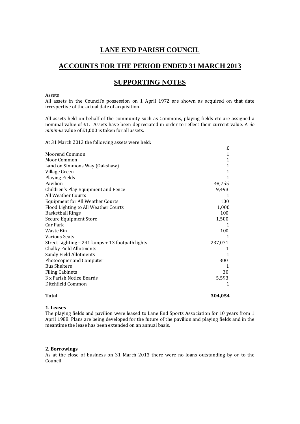#### **LANE END PARISH COUNCIL**

#### **ACCOUNTS FOR THE PERIOD ENDED 31 MARCH 2013**

#### **SUPPORTING NOTES**

Assets 

All assets in the Council's possession on 1 April 1972 are shown as acquired on that date irrespective of the actual date of acquisition.

All assets held on behalf of the community such as Commons, playing fields etc are assigned a nominal value of £1. Assets have been depreciated in order to reflect their current value. A de *minimus* value of £1,000 is taken for all assets.

At 31 March 2013 the following assets were held:

| Total                                            | 304,054 |  |
|--------------------------------------------------|---------|--|
| Ditchfield Common                                | 1       |  |
| 3 x Parish Notice Boards                         | 5,593   |  |
| <b>Filing Cabinets</b>                           | 30      |  |
| <b>Bus Shelters</b>                              |         |  |
| Photocopier and Computer                         | 300     |  |
| <b>Sandy Field Allotments</b>                    | 1       |  |
| <b>Chalky Field Allotments</b>                   | 1       |  |
| Street Lighting – 241 lamps + 13 footpath lights | 237,071 |  |
| <b>Various Seats</b>                             |         |  |
| Waste Bin                                        | 100     |  |
| Car Park                                         | 1       |  |
| Secure Equipment Store                           | 1,500   |  |
| <b>Basketball Rings</b>                          | 100     |  |
| Flood Lighting to All Weather Courts             | 1,000   |  |
| <b>Equipment for All Weather Courts</b>          | 100     |  |
| All Weather Courts                               | 1       |  |
| Children's Play Equipment and Fence              | 9,493   |  |
| Pavilion                                         | 48,755  |  |
| <b>Playing Fields</b>                            | 1       |  |
| Village Green                                    | 1       |  |
| Land on Simmons Way (Oakshaw)                    | 1       |  |
| Moor Common                                      | 1       |  |
| Moorend Common                                   | 1       |  |
|                                                  | £       |  |

#### **1. Leases**

The playing fields and pavilion were leased to Lane End Sports Association for 10 years from 1 April 1988. Plans are being developed for the future of the pavilion and playing fields and in the meantime the lease has been extended on an annual basis.

#### **2**. **Borrowings**

As at the close of business on 31 March 2013 there were no loans outstanding by or to the Council.